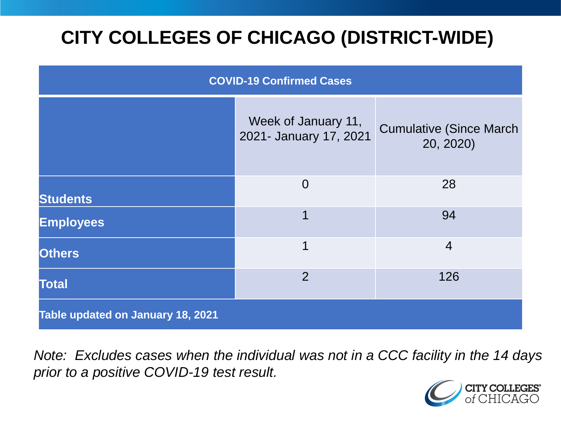# **CITY COLLEGES OF CHICAGO (DISTRICT-WIDE)**

| <b>COVID-19 Confirmed Cases</b>   |                                               |                                              |
|-----------------------------------|-----------------------------------------------|----------------------------------------------|
|                                   | Week of January 11,<br>2021- January 17, 2021 | <b>Cumulative (Since March)</b><br>20, 2020) |
| <b>Students</b>                   | $\overline{0}$                                | 28                                           |
| <b>Employees</b>                  | 1                                             | 94                                           |
| <b>Others</b>                     | 1                                             | $\overline{4}$                               |
| <b>Total</b>                      | $\overline{2}$                                | 126                                          |
| Table updated on January 18, 2021 |                                               |                                              |

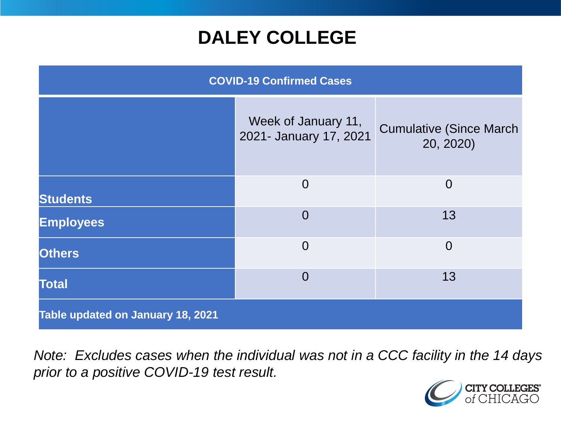## **DALEY COLLEGE**

| <b>COVID-19 Confirmed Cases</b>   |                                               |                                              |
|-----------------------------------|-----------------------------------------------|----------------------------------------------|
|                                   | Week of January 11,<br>2021- January 17, 2021 | <b>Cumulative (Since March)</b><br>20, 2020) |
| <b>Students</b>                   | $\overline{0}$                                | $\overline{0}$                               |
| <b>Employees</b>                  | $\overline{0}$                                | 13                                           |
| <b>Others</b>                     | $\overline{0}$                                | $\overline{0}$                               |
| <b>Total</b>                      | $\Omega$                                      | 13                                           |
| Table updated on January 18, 2021 |                                               |                                              |

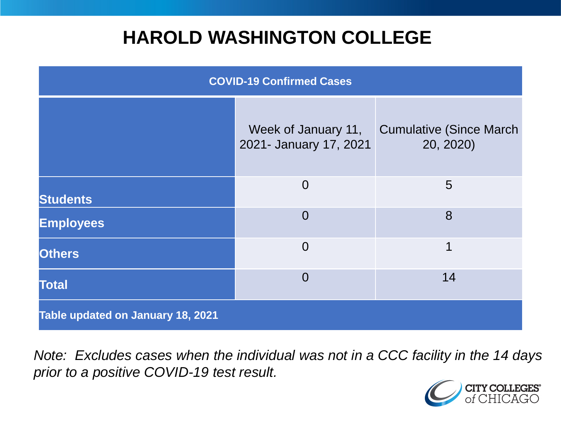## **HAROLD WASHINGTON COLLEGE**

| <b>COVID-19 Confirmed Cases</b>   |                                               |                                              |
|-----------------------------------|-----------------------------------------------|----------------------------------------------|
|                                   | Week of January 11,<br>2021- January 17, 2021 | <b>Cumulative (Since March)</b><br>20, 2020) |
| <b>Students</b>                   | $\Omega$                                      | $5\overline{)}$                              |
| <b>Employees</b>                  | $\Omega$                                      | 8                                            |
| <b>Others</b>                     | $\Omega$                                      | 1                                            |
| <b>Total</b>                      | $\Omega$                                      | 14                                           |
| Table updated on January 18, 2021 |                                               |                                              |

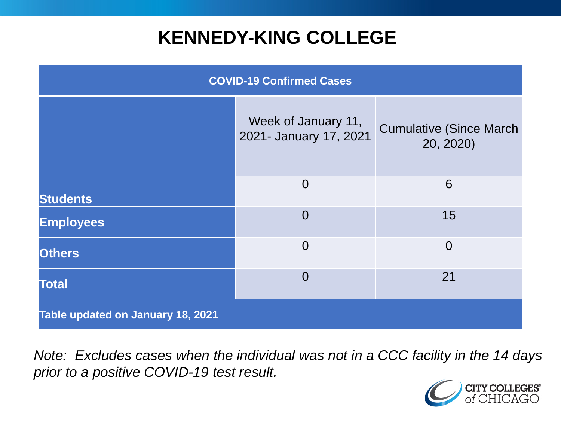## **KENNEDY-KING COLLEGE**

| <b>COVID-19 Confirmed Cases</b>   |                                               |                                              |
|-----------------------------------|-----------------------------------------------|----------------------------------------------|
|                                   | Week of January 11,<br>2021- January 17, 2021 | <b>Cumulative (Since March)</b><br>20, 2020) |
| <b>Students</b>                   | $\overline{0}$                                | 6                                            |
| <b>Employees</b>                  | $\overline{0}$                                | 15                                           |
| <b>Others</b>                     | $\overline{0}$                                | $\overline{0}$                               |
| <b>Total</b>                      | $\overline{0}$                                | 21                                           |
| Table updated on January 18, 2021 |                                               |                                              |

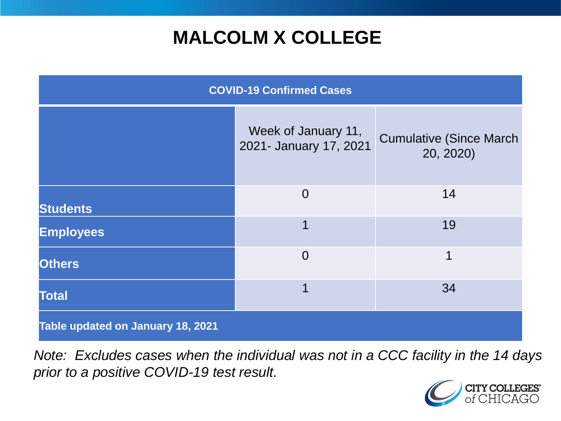## **MALCOLM X COLLEGE**

| <b>COVID-19 Confirmed Cases</b>   |                                               |                                              |
|-----------------------------------|-----------------------------------------------|----------------------------------------------|
|                                   | Week of January 11,<br>2021- January 17, 2021 | <b>Cumulative (Since March)</b><br>20, 2020) |
| <b>Students</b>                   | $\overline{0}$                                | 14                                           |
| <b>Employees</b>                  | 1                                             | 19                                           |
| <b>Others</b>                     | $\overline{0}$                                | 1                                            |
| <b>Total</b>                      | 1                                             | 34                                           |
| Table updated on January 18, 2021 |                                               |                                              |

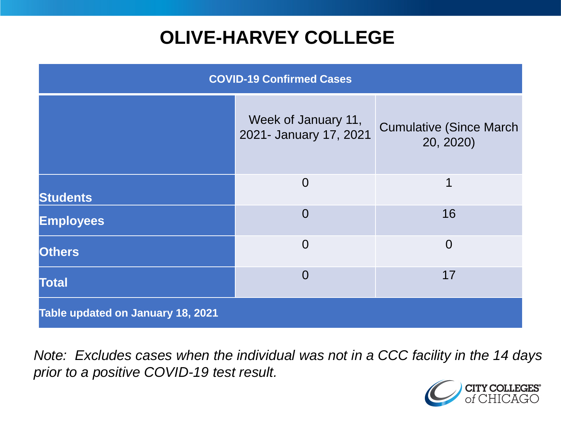# **OLIVE-HARVEY COLLEGE**

| <b>COVID-19 Confirmed Cases</b>   |                                               |                                              |
|-----------------------------------|-----------------------------------------------|----------------------------------------------|
|                                   | Week of January 11,<br>2021- January 17, 2021 | <b>Cumulative (Since March)</b><br>20, 2020) |
| <b>Students</b>                   | $\overline{0}$                                | 1                                            |
| <b>Employees</b>                  | $\Omega$                                      | 16                                           |
| <b>Others</b>                     | $\overline{0}$                                | $\overline{0}$                               |
| <b>Total</b>                      | $\Omega$                                      | 17                                           |
| Table updated on January 18, 2021 |                                               |                                              |

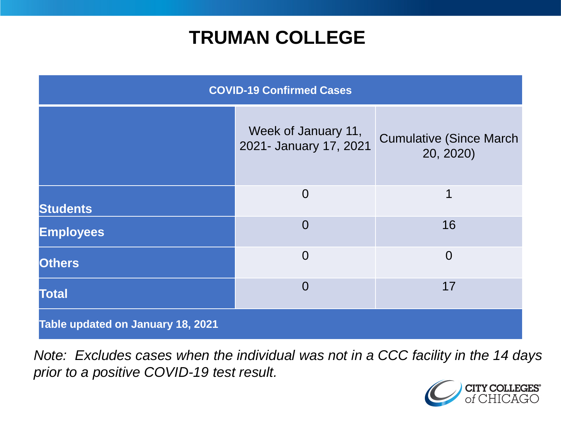## **TRUMAN COLLEGE**

| <b>COVID-19 Confirmed Cases</b>   |                                               |                                              |
|-----------------------------------|-----------------------------------------------|----------------------------------------------|
|                                   | Week of January 11,<br>2021- January 17, 2021 | <b>Cumulative (Since March)</b><br>20, 2020) |
| <b>Students</b>                   | $\Omega$                                      | 1                                            |
| <b>Employees</b>                  | $\overline{0}$                                | 16                                           |
| <b>Others</b>                     | $\overline{0}$                                | $\overline{0}$                               |
| <b>Total</b>                      | $\overline{0}$                                | 17                                           |
| Table updated on January 18, 2021 |                                               |                                              |

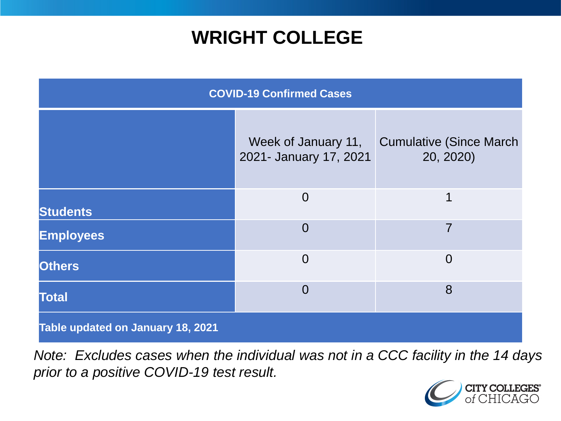## **WRIGHT COLLEGE**

| <b>COVID-19 Confirmed Cases</b>   |                                               |                                              |
|-----------------------------------|-----------------------------------------------|----------------------------------------------|
|                                   | Week of January 11,<br>2021- January 17, 2021 | <b>Cumulative (Since March)</b><br>20, 2020) |
| <b>Students</b>                   | $\overline{0}$                                | 1                                            |
| <b>Employees</b>                  | $\overline{0}$                                | $\overline{7}$                               |
| <b>Others</b>                     | $\overline{0}$                                | $\overline{0}$                               |
| <b>Total</b>                      | $\overline{0}$                                | 8                                            |
| Table updated on January 18, 2021 |                                               |                                              |